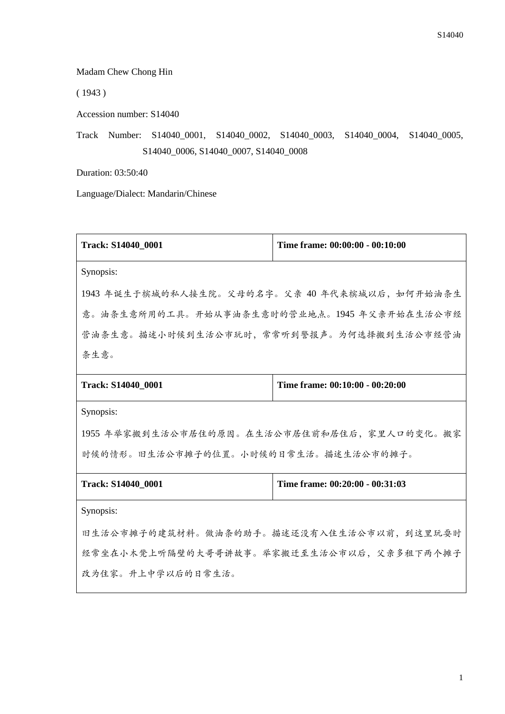Madam Chew Chong Hin

( 1943 )

Accession number: S14040

Track Number: S14040\_0001, S14040\_0002, S14040\_0003, S14040\_0004, S14040\_0005, S14040\_0006, S14040\_0007, S14040\_0008

Duration: 03:50:40

Language/Dialect: Mandarin/Chinese

| Track: S14040_0001                                    | Time frame: 00:00:00 - 00:10:00 |  |
|-------------------------------------------------------|---------------------------------|--|
| Synopsis:                                             |                                 |  |
| 1943 年诞生于槟城的私人接生院。父母的名字。父亲 40 年代来槟城以后,如何开始油条生         |                                 |  |
| 意。油条生意所用的工具。开始从事油条生意时的营业地点。1945 年父亲开始在生活公市经           |                                 |  |
| 营油条生意。描述小时候到生活公市玩时,常常听到警报声。为何选择搬到生活公市经营油              |                                 |  |
| 条生意。                                                  |                                 |  |
| Time frame: 00:10:00 - 00:20:00                       |                                 |  |
| Track: S14040_0001                                    |                                 |  |
| Synopsis:                                             |                                 |  |
| 1955 年举家搬到生活公市居住的原因。在生活公市居住前和居住后,家里人口的变化。搬家           |                                 |  |
| 时候的情形。旧生活公市摊子的位置。小时候的日常生活。描述生活公市的摊子。                  |                                 |  |
| Time frame: 00:20:00 - 00:31:03<br>Track: S14040_0001 |                                 |  |

Synopsis:

旧生活公市摊子的建筑材料。做油条的助手。描述还没有入住生活公市以前,到这里玩耍时 经常坐在小木凳上听隔壁的大哥哥讲故事。举家搬迁至生活公市以后,父亲多租下两个摊子 改为住家。升上中学以后的日常生活。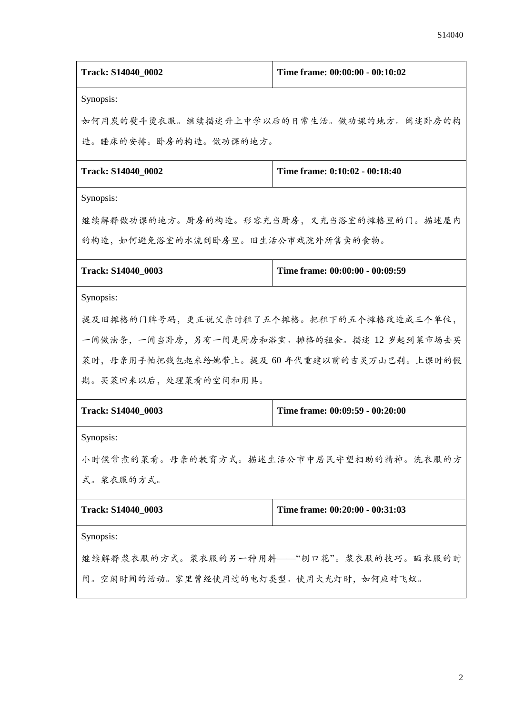| Track: S14040_0002                            | Time frame: 00:00:00 - 00:10:02 |  |
|-----------------------------------------------|---------------------------------|--|
| Synopsis:                                     |                                 |  |
| 如何用炭的熨斗烫衣服。继续描述升上中学以后的日常生活。做功课的地方。阐述卧房的构      |                                 |  |
| 造。睡床的安排。卧房的构造。做功课的地方。                         |                                 |  |
| Track: S14040_0002                            | Time frame: 0:10:02 - 00:18:40  |  |
| Synopsis:                                     |                                 |  |
| 继续解释做功课的地方。厨房的构造。形容充当厨房,又充当浴室的摊格里的门。描述屋内      |                                 |  |
| 的构造,如何避免浴室的水流到卧房里。旧生活公市戏院外所售卖的食物。             |                                 |  |
| Track: S14040_0003                            | Time frame: 00:00:00 - 00:09:59 |  |
| Synopsis:                                     |                                 |  |
| 提及旧摊格的门牌号码,更正说父亲时租了五个摊格。把租下的五个摊格改造成三个单位,      |                                 |  |
| 一间做油条, 一间当卧房, 另有一间是厨房和浴室。摊格的租金。描述 12 岁起到菜市场去买 |                                 |  |
| 菜时,母亲用手帕把钱包起来给她带上。提及 60 年代重建以前的吉灵万山巴刹。上课时的假   |                                 |  |
| 期。买菜回来以后,处理菜肴的空间和用具。                          |                                 |  |
| Track: S14040_0003                            | Time frame: 00:09:59 - 00:20:00 |  |
| Synopsis:                                     |                                 |  |
| 小时候常煮的菜肴。母亲的教育方式。描述生活公市中居民守望相助的精神。洗衣服的方       |                                 |  |
| 式。浆衣服的方式。                                     |                                 |  |
| Track: S14040 0003                            | Time frame: 00:20:00 - 00:31:03 |  |
| Synopsis:                                     |                                 |  |
| 继续解释浆衣服的方式。浆衣服的另一种用料——"刨口花"。浆衣服的技巧。晒衣服的时      |                                 |  |
| 间。空闲时间的活动。家里曾经使用过的电灯类型。使用大光灯时,如何应对飞蚁。         |                                 |  |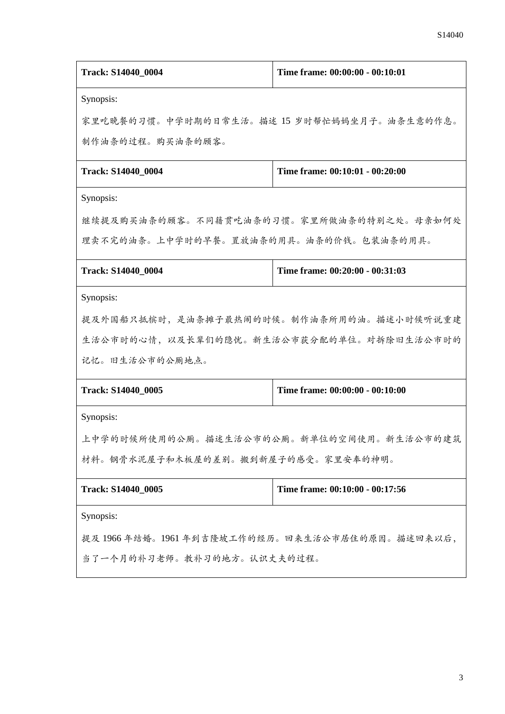| Track: S14040_0004                              | Time frame: 00:00:00 - 00:10:01 |  |
|-------------------------------------------------|---------------------------------|--|
| Synopsis:                                       |                                 |  |
| 家里吃晚餐的习惯。中学时期的日常生活。描述 15 岁时帮忙妈妈坐月子。油条生意的作息。     |                                 |  |
| 制作油条的过程。购买油条的顾客。                                |                                 |  |
| Track: S14040_0004                              | Time frame: 00:10:01 - 00:20:00 |  |
| Synopsis:                                       |                                 |  |
| 继续提及购买油条的顾客。不同籍贯吃油条的习惯。家里所做油条的特别之处。母亲如何处        |                                 |  |
| 理卖不完的油条。上中学时的早餐。置放油条的用具。油条的价钱。包装油条的用具。          |                                 |  |
| Track: S14040 0004                              | Time frame: 00:20:00 - 00:31:03 |  |
| Synopsis:                                       |                                 |  |
| 提及外国船只抵槟时,是油条摊子最热闹的时候。制作油条所用的油。描述小时候听说重建        |                                 |  |
| 生活公市时的心情,以及长辈们的隐忧。新生活公市获分配的单位。对拆除旧生活公市时的        |                                 |  |
| 记忆。旧生活公市的公厕地点。                                  |                                 |  |
| Track: S14040_0005                              | Time frame: 00:00:00 - 00:10:00 |  |
| Synopsis:                                       |                                 |  |
| 上中学的时候所使用的公厕。描述生活公市的公厕。新单位的空间使用。新生活公市的建筑        |                                 |  |
| 材料。钢骨水泥屋子和木板屋的差别。搬到新屋子的感受。家里安奉的神明。              |                                 |  |
| Track: S14040_0005                              | Time frame: 00:10:00 - 00:17:56 |  |
| Synopsis:                                       |                                 |  |
| 提及 1966 年结婚。1961 年到吉隆坡工作的经历。回来生活公市居住的原因。描述回来以后, |                                 |  |
| 当了一个月的补习老师。教补习的地方。认识丈夫的过程。                      |                                 |  |
|                                                 |                                 |  |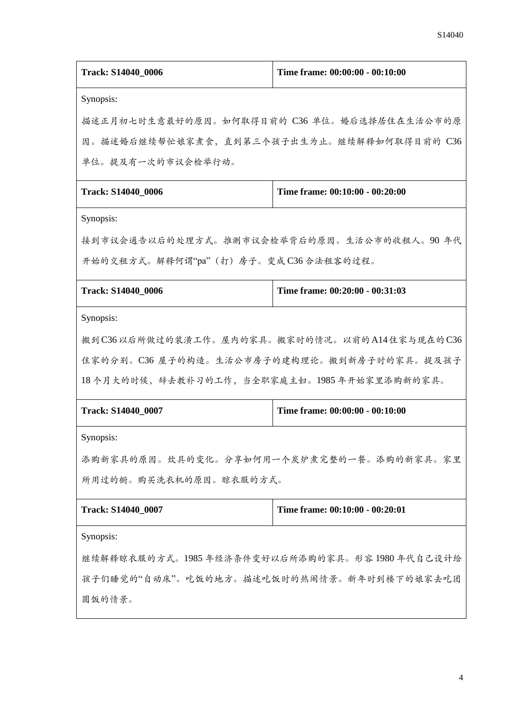| 描述正月初七时生意最好的原因。如何取得目前的 C36 单位。婚后选择居住在生活公市的原<br>因。描述婚后继续帮忙娘家煮食,直到第三个孩子出生为止。继续解释如何取得目前的 C36<br>单位。提及有一次的市议会检举行动。<br>Time frame: 00:10:00 - 00:20:00<br>接到市议会通告以后的处理方式。推测市议会检举背后的原因。生活公市的收租人。90 年代<br>开始的交租方式。解释何谓"pa"(打)房子。变成C36合法租客的过程。<br>Time frame: 00:20:00 - 00:31:03<br>搬到C36以后所做过的装潢工作。屋内的家具。搬家时的情况。以前的A14住家与现在的C36<br>Time frame: 00:00:00 - 00:10:00<br>添购新家具的原因。炊具的变化。分享如何用一个炭炉煮完整的一餐。添购的新家具。家里<br>所用过的橱。购买洗衣机的原因。晾衣服的方式。<br>Time frame: 00:10:00 - 00:20:01<br>继续解释晾衣服的方式。1985年经济条件变好以后所添购的家具。形容1980年代自己设计给<br>孩子们睡觉的"自动床"。吃饭的地方。描述吃饭时的热闹情景。新年时到楼下的娘家去吃团<br>圆饭的情景。 | Track: S14040_0006                           | Time frame: 00:00:00 - 00:10:00 |  |
|------------------------------------------------------------------------------------------------------------------------------------------------------------------------------------------------------------------------------------------------------------------------------------------------------------------------------------------------------------------------------------------------------------------------------------------------------------------------------------------------------------------------------------------------------------------------------|----------------------------------------------|---------------------------------|--|
|                                                                                                                                                                                                                                                                                                                                                                                                                                                                                                                                                                              | Synopsis:                                    |                                 |  |
|                                                                                                                                                                                                                                                                                                                                                                                                                                                                                                                                                                              |                                              |                                 |  |
|                                                                                                                                                                                                                                                                                                                                                                                                                                                                                                                                                                              |                                              |                                 |  |
|                                                                                                                                                                                                                                                                                                                                                                                                                                                                                                                                                                              |                                              |                                 |  |
|                                                                                                                                                                                                                                                                                                                                                                                                                                                                                                                                                                              | Track: S14040_0006                           |                                 |  |
|                                                                                                                                                                                                                                                                                                                                                                                                                                                                                                                                                                              | Synopsis:                                    |                                 |  |
|                                                                                                                                                                                                                                                                                                                                                                                                                                                                                                                                                                              |                                              |                                 |  |
|                                                                                                                                                                                                                                                                                                                                                                                                                                                                                                                                                                              |                                              |                                 |  |
|                                                                                                                                                                                                                                                                                                                                                                                                                                                                                                                                                                              | Track: S14040_0006                           |                                 |  |
|                                                                                                                                                                                                                                                                                                                                                                                                                                                                                                                                                                              | Synopsis:                                    |                                 |  |
|                                                                                                                                                                                                                                                                                                                                                                                                                                                                                                                                                                              |                                              |                                 |  |
|                                                                                                                                                                                                                                                                                                                                                                                                                                                                                                                                                                              | 住家的分别。C36 屋子的构造。生活公市房子的建构理论。搬到新房子时的家具。提及孩子   |                                 |  |
|                                                                                                                                                                                                                                                                                                                                                                                                                                                                                                                                                                              | 18个月大的时候, 辞去教补习的工作, 当全职家庭主妇。1985年开始家里添购新的家具。 |                                 |  |
|                                                                                                                                                                                                                                                                                                                                                                                                                                                                                                                                                                              | Track: S14040_0007                           |                                 |  |
|                                                                                                                                                                                                                                                                                                                                                                                                                                                                                                                                                                              | Synopsis:                                    |                                 |  |
|                                                                                                                                                                                                                                                                                                                                                                                                                                                                                                                                                                              |                                              |                                 |  |
|                                                                                                                                                                                                                                                                                                                                                                                                                                                                                                                                                                              |                                              |                                 |  |
|                                                                                                                                                                                                                                                                                                                                                                                                                                                                                                                                                                              | Track: S14040_0007                           |                                 |  |
|                                                                                                                                                                                                                                                                                                                                                                                                                                                                                                                                                                              | Synopsis:                                    |                                 |  |
|                                                                                                                                                                                                                                                                                                                                                                                                                                                                                                                                                                              |                                              |                                 |  |
|                                                                                                                                                                                                                                                                                                                                                                                                                                                                                                                                                                              |                                              |                                 |  |
|                                                                                                                                                                                                                                                                                                                                                                                                                                                                                                                                                                              |                                              |                                 |  |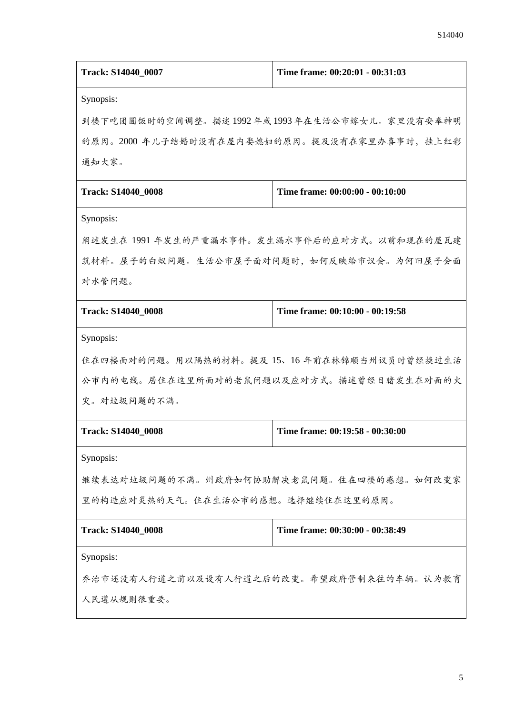| Track: S14040_0007                           | Time frame: 00:20:01 - 00:31:03 |  |
|----------------------------------------------|---------------------------------|--|
| Synopsis:                                    |                                 |  |
| 到楼下吃团圆饭时的空间调整。描述1992年或1993年在生活公市嫁女儿。家里没有安奉神明 |                                 |  |
| 的原因。2000 年儿子结婚时没有在屋内娶媳妇的原因。提及没有在家里办喜事时,挂上红彩  |                                 |  |
| 通知大家。                                        |                                 |  |
| <b>Track: S14040_0008</b>                    | Time frame: 00:00:00 - 00:10:00 |  |
| Synopsis:                                    |                                 |  |
| 阐述发生在 1991 年发生的严重漏水事件。发生漏水事件后的应对方式。以前和现在的屋瓦建 |                                 |  |
| 筑材料。屋子的白蚁问题。生活公市屋子面对问题时,如何反映给市议会。为何旧屋子会面     |                                 |  |
| 对水管问题。                                       |                                 |  |
| Track: S14040_0008                           | Time frame: 00:10:00 - 00:19:58 |  |
| Synopsis:                                    |                                 |  |
| 住在四楼面对的问题。用以隔热的材料。提及 15、16 年前在林锦顺当州议员时曾经换过生活 |                                 |  |
| 公市内的电线。居住在这里所面对的老鼠问题以及应对方式。描述曾经目睹发生在对面的火     |                                 |  |
| 灾。对垃圾问题的不满。                                  |                                 |  |
| <b>Track: S14040 0008</b>                    | Time frame: 00:19:58 - 00:30:00 |  |
| Synopsis:                                    |                                 |  |
| 继续表达对垃圾问题的不满。州政府如何协助解决老鼠问题。住在四楼的感想。如何改变家     |                                 |  |
| 里的构造应对炎热的天气。住在生活公市的感想。选择继续住在这里的原因。           |                                 |  |
| <b>Track: S14040 0008</b>                    | Time frame: 00:30:00 - 00:38:49 |  |
| Synopsis:                                    |                                 |  |
| 乔治市还没有人行道之前以及设有人行道之后的改变。希望政府管制来往的车辆。认为教育     |                                 |  |
| 人民遵从规则很重要。                                   |                                 |  |
|                                              |                                 |  |
|                                              |                                 |  |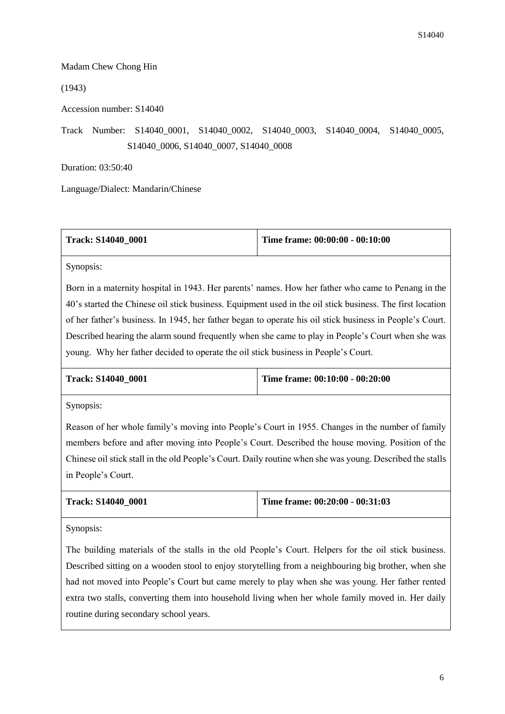## Madam Chew Chong Hin

(1943)

Accession number: S14040

Track Number: S14040\_0001, S14040\_0002, S14040\_0003, S14040\_0004, S14040\_0005, S14040\_0006, S14040\_0007, S14040\_0008

Duration: 03:50:40

Language/Dialect: Mandarin/Chinese

| <b>Track: S14040 0001</b> | Time frame: $00:00:00 - 00:10:00$ |
|---------------------------|-----------------------------------|
|                           |                                   |

Synopsis:

Born in a maternity hospital in 1943. Her parents' names. How her father who came to Penang in the 40's started the Chinese oil stick business. Equipment used in the oil stick business. The first location of her father's business. In 1945, her father began to operate his oil stick business in People's Court. Described hearing the alarm sound frequently when she came to play in People's Court when she was young. Why her father decided to operate the oil stick business in People's Court.

| <b>Track: S14040 0001</b> | Time frame: $00:10:00 - 00:20:00$ |
|---------------------------|-----------------------------------|
|                           |                                   |

Synopsis:

Reason of her whole family's moving into People's Court in 1955. Changes in the number of family members before and after moving into People's Court. Described the house moving. Position of the Chinese oil stick stall in the old People's Court. Daily routine when she was young. Described the stalls in People's Court.

| <b>Track: S14040 0001</b> | Time frame: $00:20:00 - 00:31:03$ |
|---------------------------|-----------------------------------|
|                           |                                   |

Synopsis:

The building materials of the stalls in the old People's Court. Helpers for the oil stick business. Described sitting on a wooden stool to enjoy storytelling from a neighbouring big brother, when she had not moved into People's Court but came merely to play when she was young. Her father rented extra two stalls, converting them into household living when her whole family moved in. Her daily routine during secondary school years.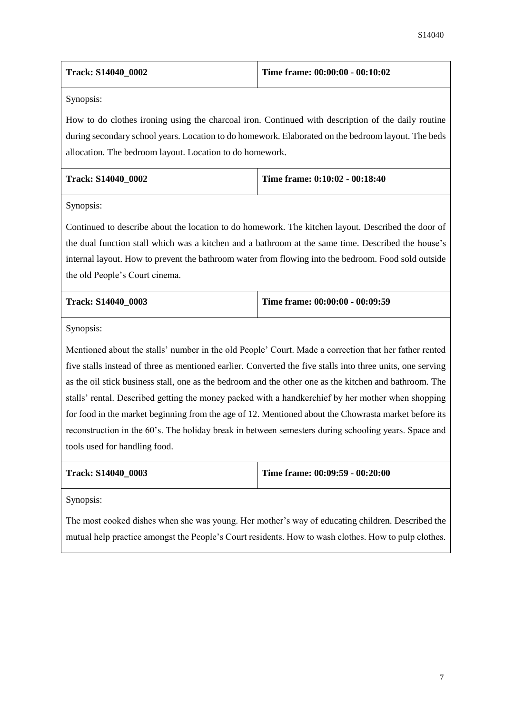| <b>Track: S14040 0002</b> | Time frame: $00:00:00 - 00:10:02$ |
|---------------------------|-----------------------------------|
|                           |                                   |

How to do clothes ironing using the charcoal iron. Continued with description of the daily routine during secondary school years. Location to do homework. Elaborated on the bedroom layout. The beds allocation. The bedroom layout. Location to do homework.

| <b>Track: S14040 0002</b> | Time frame: $0:10:02 - 00:18:40$ |
|---------------------------|----------------------------------|
|                           |                                  |

Synopsis:

Continued to describe about the location to do homework. The kitchen layout. Described the door of the dual function stall which was a kitchen and a bathroom at the same time. Described the house's internal layout. How to prevent the bathroom water from flowing into the bedroom. Food sold outside the old People's Court cinema.

| <b>Track: S14040 0003</b> | Time frame: $00:00:00 - 00:09:59$ |
|---------------------------|-----------------------------------|
|                           |                                   |

Synopsis:

Mentioned about the stalls' number in the old People' Court. Made a correction that her father rented five stalls instead of three as mentioned earlier. Converted the five stalls into three units, one serving as the oil stick business stall, one as the bedroom and the other one as the kitchen and bathroom. The stalls' rental. Described getting the money packed with a handkerchief by her mother when shopping for food in the market beginning from the age of 12. Mentioned about the Chowrasta market before its reconstruction in the 60's. The holiday break in between semesters during schooling years. Space and tools used for handling food.

|  | Track: S14040 0003 |  |
|--|--------------------|--|
|--|--------------------|--|

**Time frame: 00:09:59 - 00:20:00** 

Synopsis:

The most cooked dishes when she was young. Her mother's way of educating children. Described the mutual help practice amongst the People's Court residents. How to wash clothes. How to pulp clothes.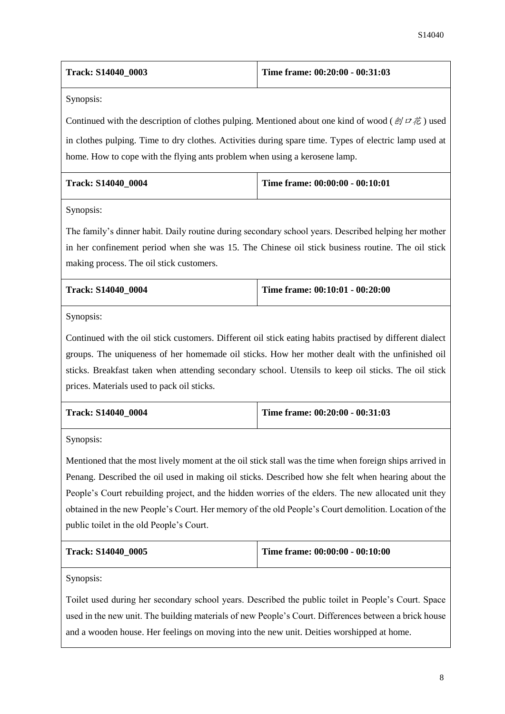| <b>Track: S14040 0003</b> | Time frame: $00:20:00 - 00:31:03$ |
|---------------------------|-----------------------------------|
|                           |                                   |

Continued with the description of clothes pulping. Mentioned about one kind of wood ( $\mathcal{D}I\ddot{\mathcal{D}}$ ) used in clothes pulping. Time to dry clothes. Activities during spare time. Types of electric lamp used at home. How to cope with the flying ants problem when using a kerosene lamp.

| <b>Track: S14040 0004</b> | Time frame: $00:00:00 - 00:10:01$ |
|---------------------------|-----------------------------------|
|                           |                                   |

Synopsis:

The family's dinner habit. Daily routine during secondary school years. Described helping her mother in her confinement period when she was 15. The Chinese oil stick business routine. The oil stick making process. The oil stick customers.

| <b>Track: S14040 0004</b> | Time frame: 00:10:01 - 00:20:00 |
|---------------------------|---------------------------------|
|---------------------------|---------------------------------|

Synopsis:

Continued with the oil stick customers. Different oil stick eating habits practised by different dialect groups. The uniqueness of her homemade oil sticks. How her mother dealt with the unfinished oil sticks. Breakfast taken when attending secondary school. Utensils to keep oil sticks. The oil stick prices. Materials used to pack oil sticks.

| <b>Track: S14040 0004</b> | Time frame: $00:20:00 - 00:31:03$ |
|---------------------------|-----------------------------------|
|                           |                                   |

Synopsis:

Mentioned that the most lively moment at the oil stick stall was the time when foreign ships arrived in Penang. Described the oil used in making oil sticks. Described how she felt when hearing about the People's Court rebuilding project, and the hidden worries of the elders. The new allocated unit they obtained in the new People's Court. Her memory of the old People's Court demolition. Location of the public toilet in the old People's Court.

| <b>Track: S14040 0005</b> | Time frame: $00:00:00 - 00:10:00$ |
|---------------------------|-----------------------------------|
|                           |                                   |

Synopsis:

Toilet used during her secondary school years. Described the public toilet in People's Court. Space used in the new unit. The building materials of new People's Court. Differences between a brick house and a wooden house. Her feelings on moving into the new unit. Deities worshipped at home.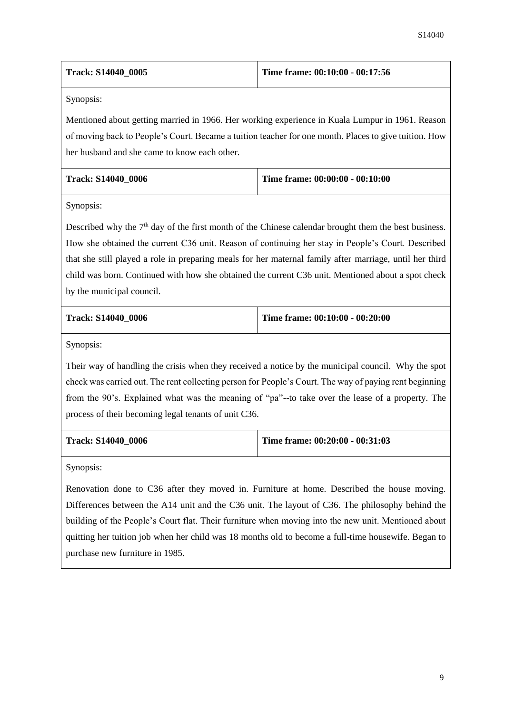| <b>Track: S14040 0005</b> | Time frame: $00:10:00 - 00:17:56$ |
|---------------------------|-----------------------------------|
|                           |                                   |

Mentioned about getting married in 1966. Her working experience in Kuala Lumpur in 1961. Reason of moving back to People's Court. Became a tuition teacher for one month. Places to give tuition. How her husband and she came to know each other.

| <b>Track: S14040 0006</b> | Time frame: $00:00:00 - 00:10:00$ |
|---------------------------|-----------------------------------|
|                           |                                   |

Synopsis:

Described why the  $7<sup>th</sup>$  day of the first month of the Chinese calendar brought them the best business. How she obtained the current C36 unit. Reason of continuing her stay in People's Court. Described that she still played a role in preparing meals for her maternal family after marriage, until her third child was born. Continued with how she obtained the current C36 unit. Mentioned about a spot check by the municipal council.

| <b>Track: S14040 0006</b> | Time frame: $00:10:00 - 00:20:00$ |
|---------------------------|-----------------------------------|
|                           |                                   |

Synopsis:

Their way of handling the crisis when they received a notice by the municipal council. Why the spot check was carried out. The rent collecting person for People's Court. The way of paying rent beginning from the 90's. Explained what was the meaning of "pa"--to take over the lease of a property. The process of their becoming legal tenants of unit C36.

| Track: S14040 0006 | Time frame: $00:20:00 - 00:31:03$ |
|--------------------|-----------------------------------|
|--------------------|-----------------------------------|

Synopsis:

Renovation done to C36 after they moved in. Furniture at home. Described the house moving. Differences between the A14 unit and the C36 unit. The layout of C36. The philosophy behind the building of the People's Court flat. Their furniture when moving into the new unit. Mentioned about quitting her tuition job when her child was 18 months old to become a full-time housewife. Began to purchase new furniture in 1985.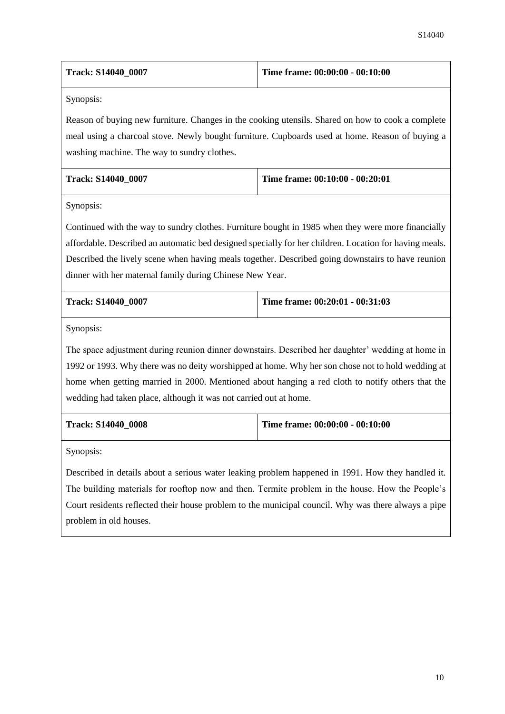| <b>Track: S14040 0007</b> | Time frame: 00:00:00 - 00:10:00 |
|---------------------------|---------------------------------|
|                           |                                 |

Reason of buying new furniture. Changes in the cooking utensils. Shared on how to cook a complete meal using a charcoal stove. Newly bought furniture. Cupboards used at home. Reason of buying a washing machine. The way to sundry clothes.

| <b>Track: S14040 0007</b> | Time frame: $00:10:00 - 00:20:01$ |
|---------------------------|-----------------------------------|
|                           |                                   |

Synopsis:

Continued with the way to sundry clothes. Furniture bought in 1985 when they were more financially affordable. Described an automatic bed designed specially for her children. Location for having meals. Described the lively scene when having meals together. Described going downstairs to have reunion dinner with her maternal family during Chinese New Year.

| <b>Track: S14040 0007</b> | Time frame: $00:20:01 - 00:31:03$ |
|---------------------------|-----------------------------------|
|                           |                                   |

Synopsis:

The space adjustment during reunion dinner downstairs. Described her daughter' wedding at home in 1992 or 1993. Why there was no deity worshipped at home. Why her son chose not to hold wedding at home when getting married in 2000. Mentioned about hanging a red cloth to notify others that the wedding had taken place, although it was not carried out at home.

| <b>Track: S14040 0008</b> | Time frame: $00:00:00 - 00:10:00$ |
|---------------------------|-----------------------------------|
|                           |                                   |

Synopsis:

Described in details about a serious water leaking problem happened in 1991. How they handled it. The building materials for rooftop now and then. Termite problem in the house. How the People's Court residents reflected their house problem to the municipal council. Why was there always a pipe problem in old houses.